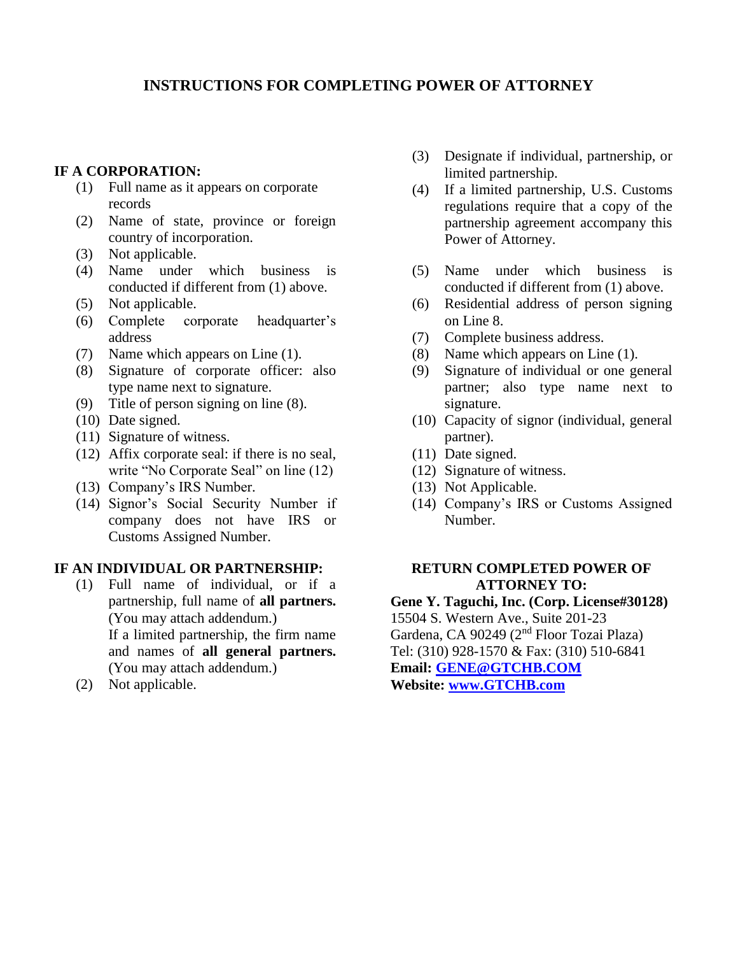# **INSTRUCTIONS FOR COMPLETING POWER OF ATTORNEY**

### **IF A CORPORATION:**

- (1) Full name as it appears on corporate records
- (2) Name of state, province or foreign country of incorporation.
- (3) Not applicable.
- (4) Name under which business is conducted if different from (1) above.
- (5) Not applicable.
- (6) Complete corporate headquarter's address
- (7) Name which appears on Line (1).
- (8) Signature of corporate officer: also type name next to signature.
- (9) Title of person signing on line (8).
- (10) Date signed.
- (11) Signature of witness.
- (12) Affix corporate seal: if there is no seal, write "No Corporate Seal" on line (12)
- (13) Company's IRS Number.
- (14) Signor's Social Security Number if company does not have IRS or Customs Assigned Number.

## **IF AN INDIVIDUAL OR PARTNERSHIP:**

- (1) Full name of individual, or if a partnership, full name of **all partners.** (You may attach addendum.) If a limited partnership, the firm name and names of **all general partners.** (You may attach addendum.)
- (2) Not applicable.
- (3) Designate if individual, partnership, or limited partnership.
- (4) If a limited partnership, U.S. Customs regulations require that a copy of the partnership agreement accompany this Power of Attorney.
- (5) Name under which business is conducted if different from (1) above.
- (6) Residential address of person signing on Line 8.
- (7) Complete business address.
- (8) Name which appears on Line (1).
- (9) Signature of individual or one general partner; also type name next to signature.
- (10) Capacity of signor (individual, general partner).
- (11) Date signed.
- (12) Signature of witness.
- (13) Not Applicable.
- (14) Company's IRS or Customs Assigned Number.

#### **RETURN COMPLETED POWER OF ATTORNEY TO:**

**Gene Y. Taguchi, Inc. (Corp. License#30128)** 15504 S. Western Ave., Suite 201-23 Gardena, CA 90249 (2nd Floor Tozai Plaza) Tel: (310) 928-1570 & Fax: (310) 510-6841 **Email: [GENE@GTCHB.COM](mailto:GENE@GTCHB.COM) Website: [www.GTCHB.com](http://www.gtchb.com/)**